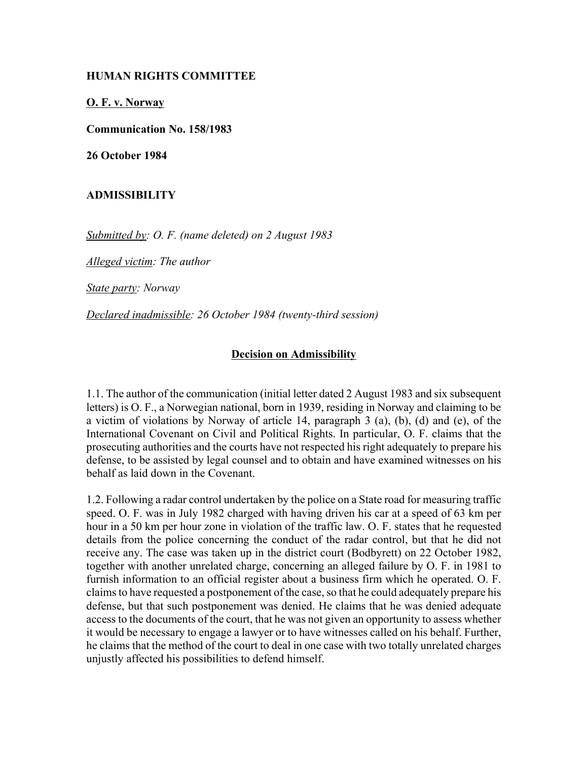## **HUMAN RIGHTS COMMITTEE**

**O. F. v. Norway**

**Communication No. 158/1983**

**26 October 1984**

## **ADMISSIBILITY**

*Submitted by: O. F. (name deleted) on 2 August 1983* 

*Alleged victim: The author* 

*State party: Norway* 

*Declared inadmissible: 26 October 1984 (twenty-third session)* 

## **Decision on Admissibility**

1.1. The author of the communication (initial letter dated 2 August 1983 and six subsequent letters) is O. F., a Norwegian national, born in 1939, residing in Norway and claiming to be a victim of violations by Norway of article 14, paragraph 3 (a), (b), (d) and (e), of the International Covenant on Civil and Political Rights. In particular, O. F. claims that the prosecuting authorities and the courts have not respected his right adequately to prepare his defense, to be assisted by legal counsel and to obtain and have examined witnesses on his behalf as laid down in the Covenant.

1.2. Following a radar control undertaken by the police on a State road for measuring traffic speed. O. F. was in July 1982 charged with having driven his car at a speed of 63 km per hour in a 50 km per hour zone in violation of the traffic law. O. F. states that he requested details from the police concerning the conduct of the radar control, but that he did not receive any. The case was taken up in the district court (Bodbyrett) on 22 October 1982, together with another unrelated charge, concerning an alleged failure by O. F. in 1981 to furnish information to an official register about a business firm which he operated. O. F. claims to have requested a postponement of the case, so that he could adequately prepare his defense, but that such postponement was denied. He claims that he was denied adequate access to the documents of the court, that he was not given an opportunity to assess whether it would be necessary to engage a lawyer or to have witnesses called on his behalf. Further, he claims that the method of the court to deal in one case with two totally unrelated charges unjustly affected his possibilities to defend himself.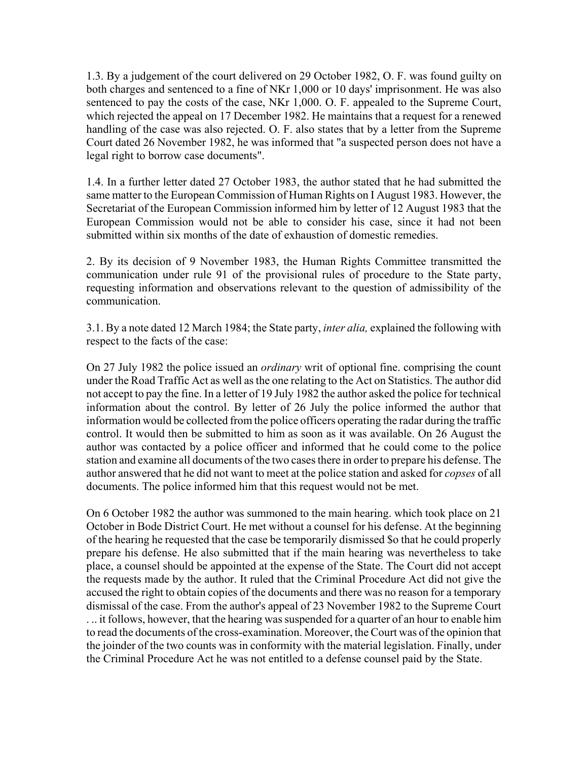1.3. By a judgement of the court delivered on 29 October 1982, O. F. was found guilty on both charges and sentenced to a fine of NKr 1,000 or 10 days' imprisonment. He was also sentenced to pay the costs of the case, NKr 1,000. O. F. appealed to the Supreme Court, which rejected the appeal on 17 December 1982. He maintains that a request for a renewed handling of the case was also rejected. O. F. also states that by a letter from the Supreme Court dated 26 November 1982, he was informed that "a suspected person does not have a legal right to borrow case documents".

1.4. In a further letter dated 27 October 1983, the author stated that he had submitted the same matter to the European Commission of Human Rights on I August 1983. However, the Secretariat of the European Commission informed him by letter of 12 August 1983 that the European Commission would not be able to consider his case, since it had not been submitted within six months of the date of exhaustion of domestic remedies.

2. By its decision of 9 November 1983, the Human Rights Committee transmitted the communication under rule 91 of the provisional rules of procedure to the State party, requesting information and observations relevant to the question of admissibility of the communication.

3.1. By a note dated 12 March 1984; the State party, *inter alia,* explained the following with respect to the facts of the case:

On 27 July 1982 the police issued an *ordinary* writ of optional fine. comprising the count under the Road Traffic Act as well as the one relating to the Act on Statistics. The author did not accept to pay the fine. In a letter of 19 July 1982 the author asked the police for technical information about the control. By letter of 26 July the police informed the author that information would be collected from the police officers operating the radar during the traffic control. It would then be submitted to him as soon as it was available. On 26 August the author was contacted by a police officer and informed that he could come to the police station and examine all documents of the two cases there in order to prepare his defense. The author answered that he did not want to meet at the police station and asked for *copses* of all documents. The police informed him that this request would not be met.

On 6 October 1982 the author was summoned to the main hearing. which took place on 21 October in Bode District Court. He met without a counsel for his defense. At the beginning of the hearing he requested that the case be temporarily dismissed \$o that he could properly prepare his defense. He also submitted that if the main hearing was nevertheless to take place, a counsel should be appointed at the expense of the State. The Court did not accept the requests made by the author. It ruled that the Criminal Procedure Act did not give the accused the right to obtain copies of the documents and there was no reason for a temporary dismissal of the case. From the author's appeal of 23 November 1982 to the Supreme Court . .. it follows, however, that the hearing was suspended for a quarter of an hour to enable him to read the documents of the cross-examination. Moreover, the Court was of the opinion that the joinder of the two counts was in conformity with the material legislation. Finally, under the Criminal Procedure Act he was not entitled to a defense counsel paid by the State.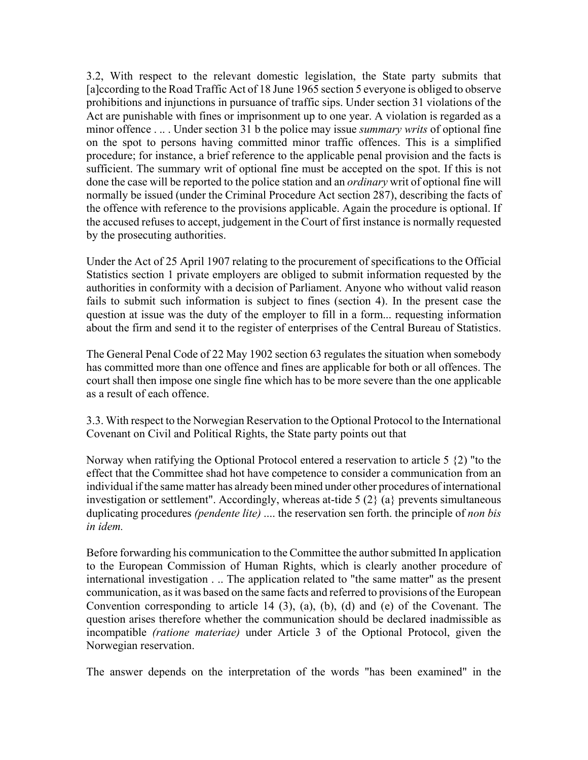3.2, With respect to the relevant domestic legislation, the State party submits that [a]ccording to the Road Traffic Act of 18 June 1965 section 5 everyone is obliged to observe prohibitions and injunctions in pursuance of traffic sips. Under section 31 violations of the Act are punishable with fines or imprisonment up to one year. A violation is regarded as a minor offence . .. . Under section 31 b the police may issue *summary writs* of optional fine on the spot to persons having committed minor traffic offences. This is a simplified procedure; for instance, a brief reference to the applicable penal provision and the facts is sufficient. The summary writ of optional fine must be accepted on the spot. If this is not done the case will be reported to the police station and an *ordinary* writ of optional fine will normally be issued (under the Criminal Procedure Act section 287), describing the facts of the offence with reference to the provisions applicable. Again the procedure is optional. If the accused refuses to accept, judgement in the Court of first instance is normally requested by the prosecuting authorities.

Under the Act of 25 April 1907 relating to the procurement of specifications to the Official Statistics section 1 private employers are obliged to submit information requested by the authorities in conformity with a decision of Parliament. Anyone who without valid reason fails to submit such information is subject to fines (section 4). In the present case the question at issue was the duty of the employer to fill in a form... requesting information about the firm and send it to the register of enterprises of the Central Bureau of Statistics.

The General Penal Code of 22 May 1902 section 63 regulates the situation when somebody has committed more than one offence and fines are applicable for both or all offences. The court shall then impose one single fine which has to be more severe than the one applicable as a result of each offence.

3.3. With respect to the Norwegian Reservation to the Optional Protocol to the International Covenant on Civil and Political Rights, the State party points out that

Norway when ratifying the Optional Protocol entered a reservation to article 5 {2) "to the effect that the Committee shad hot have competence to consider a communication from an individual if the same matter has already been mined under other procedures of international investigation or settlement". Accordingly, whereas at-tide 5 (2} (a} prevents simultaneous duplicating procedures *(pendente lite)* .... the reservation sen forth. the principle of *non bis in idem.*

Before forwarding his communication to the Committee the author submitted In application to the European Commission of Human Rights, which is clearly another procedure of international investigation . .. The application related to "the same matter" as the present communication, as it was based on the same facts and referred to provisions of the European Convention corresponding to article 14 (3), (a), (b), (d) and (e) of the Covenant. The question arises therefore whether the communication should be declared inadmissible as incompatible *(ratione materiae)* under Article 3 of the Optional Protocol, given the Norwegian reservation.

The answer depends on the interpretation of the words "has been examined" in the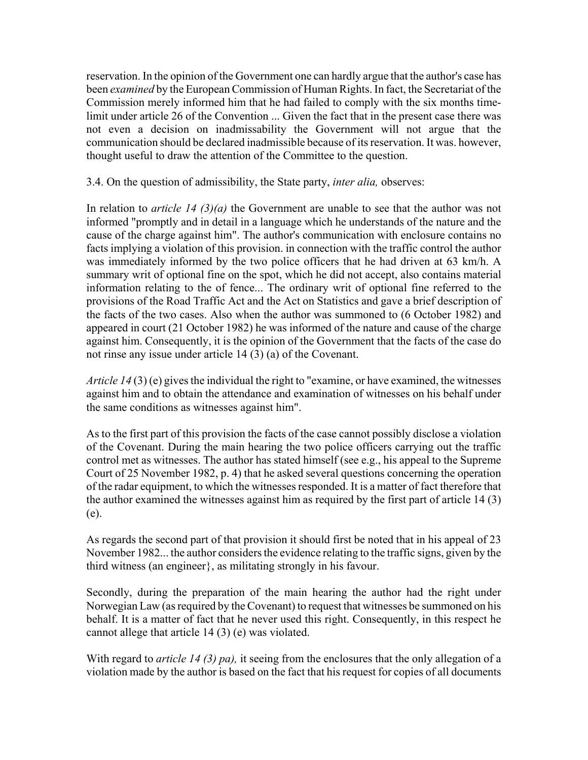reservation. In the opinion of the Government one can hardly argue that the author's case has been *examined* by the European Commission of Human Rights. In fact, the Secretariat of the Commission merely informed him that he had failed to comply with the six months timelimit under article 26 of the Convention ... Given the fact that in the present case there was not even a decision on inadmissability the Government will not argue that the communication should be declared inadmissible because of its reservation. It was. however, thought useful to draw the attention of the Committee to the question.

3.4. On the question of admissibility, the State party, *inter alia,* observes:

In relation to *article 14 (3)(a)* the Government are unable to see that the author was not informed "promptly and in detail in a language which he understands of the nature and the cause of the charge against him". The author's communication with enclosure contains no facts implying a violation of this provision. in connection with the traffic control the author was immediately informed by the two police officers that he had driven at 63 km/h. A summary writ of optional fine on the spot, which he did not accept, also contains material information relating to the of fence... The ordinary writ of optional fine referred to the provisions of the Road Traffic Act and the Act on Statistics and gave a brief description of the facts of the two cases. Also when the author was summoned to (6 October 1982) and appeared in court (21 October 1982) he was informed of the nature and cause of the charge against him. Consequently, it is the opinion of the Government that the facts of the case do not rinse any issue under article 14 (3) (a) of the Covenant.

*Article 14* (3) (e) gives the individual the right to "examine, or have examined, the witnesses against him and to obtain the attendance and examination of witnesses on his behalf under the same conditions as witnesses against him".

As to the first part of this provision the facts of the case cannot possibly disclose a violation of the Covenant. During the main hearing the two police officers carrying out the traffic control met as witnesses. The author has stated himself (see e.g., his appeal to the Supreme Court of 25 November 1982, p. 4) that he asked several questions concerning the operation of the radar equipment, to which the witnesses responded. It is a matter of fact therefore that the author examined the witnesses against him as required by the first part of article 14 (3) (e).

As regards the second part of that provision it should first be noted that in his appeal of 23 November 1982... the author considers the evidence relating to the traffic signs, given by the third witness (an engineer}, as militating strongly in his favour.

Secondly, during the preparation of the main hearing the author had the right under Norwegian Law (as required by the Covenant) to request that witnesses be summoned on his behalf. It is a matter of fact that he never used this right. Consequently, in this respect he cannot allege that article 14 (3) (e) was violated.

With regard to *article 14 (3) pa),* it seeing from the enclosures that the only allegation of a violation made by the author is based on the fact that his request for copies of all documents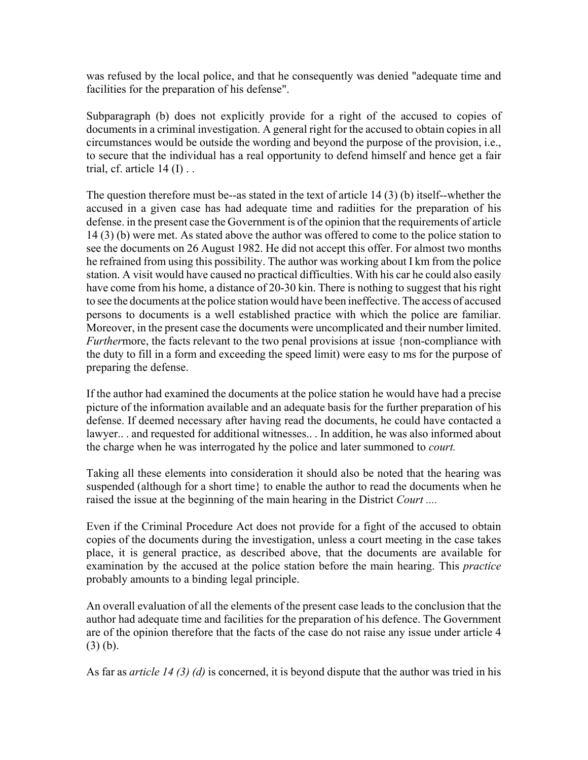was refused by the local police, and that he consequently was denied "adequate time and facilities for the preparation of his defense".

Subparagraph (b) does not explicitly provide for a right of the accused to copies of documents in a criminal investigation. A general right for the accused to obtain copies in all circumstances would be outside the wording and beyond the purpose of the provision, i.e., to secure that the individual has a real opportunity to defend himself and hence get a fair trial, cf. article  $14$  (I)...

The question therefore must be--as stated in the text of article 14 (3) (b) itself--whether the accused in a given case has had adequate time and radiities for the preparation of his defense. in the present case the Government is of the opinion that the requirements of article 14 (3) (b) were met. As stated above the author was offered to come to the police station to see the documents on 26 August 1982. He did not accept this offer. For almost two months he refrained from using this possibility. The author was working about I km from the police station. A visit would have caused no practical difficulties. With his car he could also easily have come from his home, a distance of 20-30 kin. There is nothing to suggest that his right to see the documents at the police station would have been ineffective. The access of accused persons to documents is a well established practice with which the police are familiar. Moreover, in the present case the documents were uncomplicated and their number limited. *Furtherrmore, the facts relevant to the two penal provisions at issue {non-compliance with* the duty to fill in a form and exceeding the speed limit) were easy to ms for the purpose of preparing the defense.

If the author had examined the documents at the police station he would have had a precise picture of the information available and an adequate basis for the further preparation of his defense. If deemed necessary after having read the documents, he could have contacted a lawyer.. . and requested for additional witnesses.. . In addition, he was also informed about the charge when he was interrogated hy the police and later summoned to *court.*

Taking all these elements into consideration it should also be noted that the hearing was suspended (although for a short time} to enable the author to read the documents when he raised the issue at the beginning of the main hearing in the District *Court ....*

Even if the Criminal Procedure Act does not provide for a fight of the accused to obtain copies of the documents during the investigation, unless a court meeting in the case takes place, it is general practice, as described above, that the documents are available for examination by the accused at the police station before the main hearing. This *practice* probably amounts to a binding legal principle.

An overall evaluation of all the elements of the present case leads to the conclusion that the author had adequate time and facilities for the preparation of his defence. The Government are of the opinion therefore that the facts of the case do not raise any issue under article 4 (3) (b).

As far as *article 14 (3) (d)* is concerned, it is beyond dispute that the author was tried in his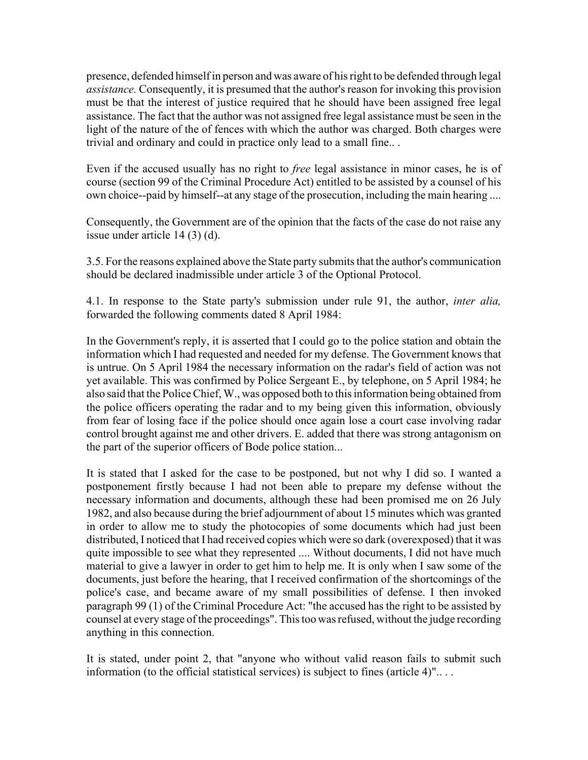presence, defended himself in person and was aware of his right to be defended through legal *assistance.* Consequently, it is presumed that the author's reason for invoking this provision must be that the interest of justice required that he should have been assigned free legal assistance. The fact that the author was not assigned free legal assistance must be seen in the light of the nature of the of fences with which the author was charged. Both charges were trivial and ordinary and could in practice only lead to a small fine.. .

Even if the accused usually has no right to *free* legal assistance in minor cases, he is of course (section 99 of the Criminal Procedure Act) entitled to be assisted by a counsel of his own choice--paid by himself--at any stage of the prosecution, including the main hearing ....

Consequently, the Government are of the opinion that the facts of the case do not raise any issue under article 14 (3) (d).

3.5. For the reasons explained above the State party submits that the author's communication should be declared inadmissible under article 3 of the Optional Protocol.

4.1. In response to the State party's submission under rule 91, the author, *inter alia,* forwarded the following comments dated 8 April 1984:

In the Government's reply, it is asserted that I could go to the police station and obtain the information which I had requested and needed for my defense. The Government knows that is untrue. On 5 April 1984 the necessary information on the radar's field of action was not yet available. This was confirmed by Police Sergeant E., by telephone, on 5 April 1984; he also said that the Police Chief, W., was opposed both to this information being obtained from the police officers operating the radar and to my being given this information, obviously from fear of losing face if the police should once again lose a court case involving radar control brought against me and other drivers. E. added that there was strong antagonism on the part of the superior officers of Bode police station...

It is stated that I asked for the case to be postponed, but not why I did so. I wanted a postponement firstly because I had not been able to prepare my defense without the necessary information and documents, although these had been promised me on 26 July 1982, and also because during the brief adjournment of about 15 minutes which was granted in order to allow me to study the photocopies of some documents which had just been distributed, I noticed that I had received copies which were so dark (overexposed) that it was quite impossible to see what they represented .... Without documents, I did not have much material to give a lawyer in order to get him to help me. It is only when I saw some of the documents, just before the hearing, that I received confirmation of the shortcomings of the police's case, and became aware of my small possibilities of defense. I then invoked paragraph 99 (1) of the Criminal Procedure Act: "the accused has the right to be assisted by counsel at every stage of the proceedings". This too was refused, without the judge recording anything in this connection.

It is stated, under point 2, that "anyone who without valid reason fails to submit such information (to the official statistical services) is subject to fines (article 4)".. . .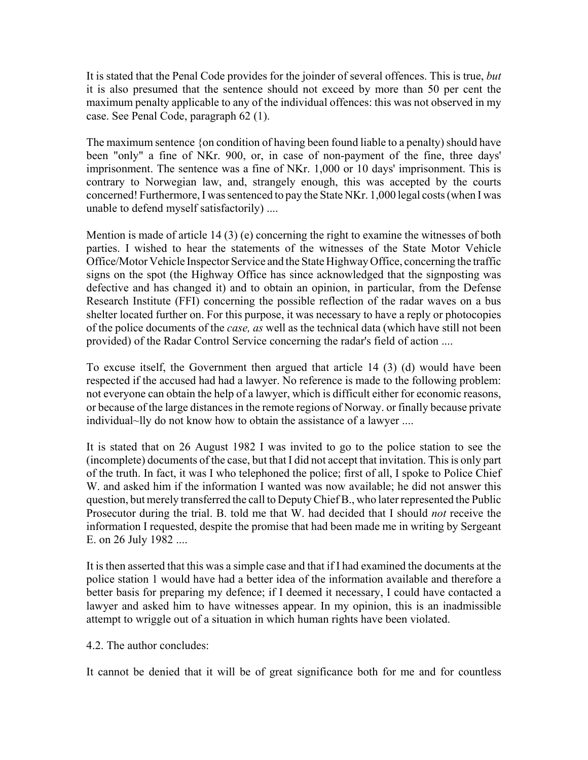It is stated that the Penal Code provides for the joinder of several offences. This is true, *but* it is also presumed that the sentence should not exceed by more than 50 per cent the maximum penalty applicable to any of the individual offences: this was not observed in my case. See Penal Code, paragraph 62 (1).

The maximum sentence {on condition of having been found liable to a penalty) should have been "only" a fine of NKr. 900, or, in case of non-payment of the fine, three days' imprisonment. The sentence was a fine of NKr. 1,000 or 10 days' imprisonment. This is contrary to Norwegian law, and, strangely enough, this was accepted by the courts concerned! Furthermore, I was sentenced to pay the State NKr. 1,000 legal costs (when I was unable to defend myself satisfactorily) ....

Mention is made of article  $14(3)$  (e) concerning the right to examine the witnesses of both parties. I wished to hear the statements of the witnesses of the State Motor Vehicle Office/Motor Vehicle Inspector Service and the State Highway Office, concerning the traffic signs on the spot (the Highway Office has since acknowledged that the signposting was defective and has changed it) and to obtain an opinion, in particular, from the Defense Research Institute (FFI) concerning the possible reflection of the radar waves on a bus shelter located further on. For this purpose, it was necessary to have a reply or photocopies of the police documents of the *case, as* well as the technical data (which have still not been provided) of the Radar Control Service concerning the radar's field of action ....

To excuse itself, the Government then argued that article 14 (3) (d) would have been respected if the accused had had a lawyer. No reference is made to the following problem: not everyone can obtain the help of a lawyer, which is difficult either for economic reasons, or because of the large distances in the remote regions of Norway. or finally because private individual~lly do not know how to obtain the assistance of a lawyer ....

It is stated that on 26 August 1982 I was invited to go to the police station to see the (incomplete) documents of the case, but that I did not accept that invitation. This is only part of the truth. In fact, it was I who telephoned the police; first of all, I spoke to Police Chief W. and asked him if the information I wanted was now available; he did not answer this question, but merely transferred the call to Deputy Chief B., who later represented the Public Prosecutor during the trial. B. told me that W. had decided that I should *not* receive the information I requested, despite the promise that had been made me in writing by Sergeant E. on 26 July 1982 ....

It is then asserted that this was a simple case and that if I had examined the documents at the police station 1 would have had a better idea of the information available and therefore a better basis for preparing my defence; if I deemed it necessary, I could have contacted a lawyer and asked him to have witnesses appear. In my opinion, this is an inadmissible attempt to wriggle out of a situation in which human rights have been violated.

## 4.2. The author concludes:

It cannot be denied that it will be of great significance both for me and for countless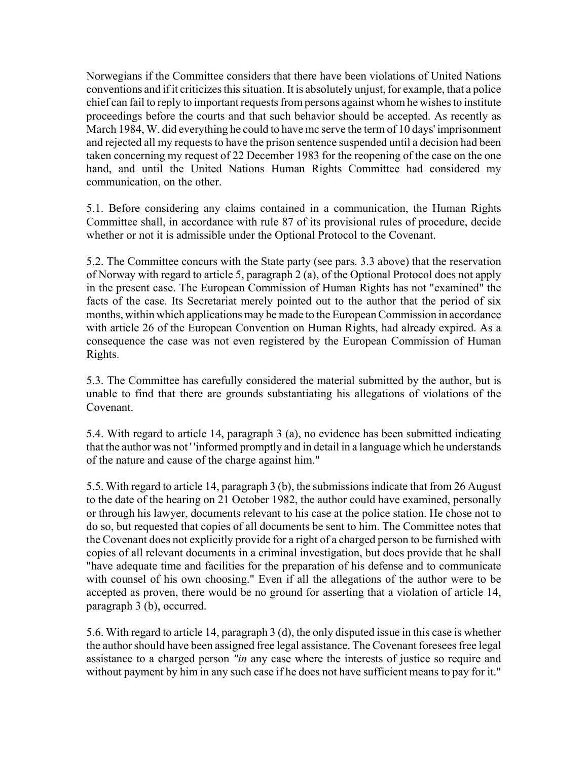Norwegians if the Committee considers that there have been violations of United Nations conventions and if it criticizes this situation. It is absolutely unjust, for example, that a police chief can fail to reply to important requests from persons against whom he wishes to institute proceedings before the courts and that such behavior should be accepted. As recently as March 1984, W. did everything he could to have mc serve the term of 10 days' imprisonment and rejected all my requests to have the prison sentence suspended until a decision had been taken concerning my request of 22 December 1983 for the reopening of the case on the one hand, and until the United Nations Human Rights Committee had considered my communication, on the other.

5.1. Before considering any claims contained in a communication, the Human Rights Committee shall, in accordance with rule 87 of its provisional rules of procedure, decide whether or not it is admissible under the Optional Protocol to the Covenant.

5.2. The Committee concurs with the State party (see pars. 3.3 above) that the reservation of Norway with regard to article 5, paragraph 2 (a), of the Optional Protocol does not apply in the present case. The European Commission of Human Rights has not "examined" the facts of the case. Its Secretariat merely pointed out to the author that the period of six months, within which applications may be made to the European Commission in accordance with article 26 of the European Convention on Human Rights, had already expired. As a consequence the case was not even registered by the European Commission of Human Rights.

5.3. The Committee has carefully considered the material submitted by the author, but is unable to find that there are grounds substantiating his allegations of violations of the Covenant.

5.4. With regard to article 14, paragraph 3 (a), no evidence has been submitted indicating that the author was not ' 'informed promptly and in detail in a language which he understands of the nature and cause of the charge against him."

5.5. With regard to article 14, paragraph 3 (b), the submissions indicate that from 26 August to the date of the hearing on 21 October 1982, the author could have examined, personally or through his lawyer, documents relevant to his case at the police station. He chose not to do so, but requested that copies of all documents be sent to him. The Committee notes that the Covenant does not explicitly provide for a right of a charged person to be furnished with copies of all relevant documents in a criminal investigation, but does provide that he shall "have adequate time and facilities for the preparation of his defense and to communicate with counsel of his own choosing." Even if all the allegations of the author were to be accepted as proven, there would be no ground for asserting that a violation of article 14, paragraph 3 (b), occurred.

5.6. With regard to article 14, paragraph 3 (d), the only disputed issue in this case is whether the author should have been assigned free legal assistance. The Covenant foresees free legal assistance to a charged person *"in* any case where the interests of justice so require and without payment by him in any such case if he does not have sufficient means to pay for it."